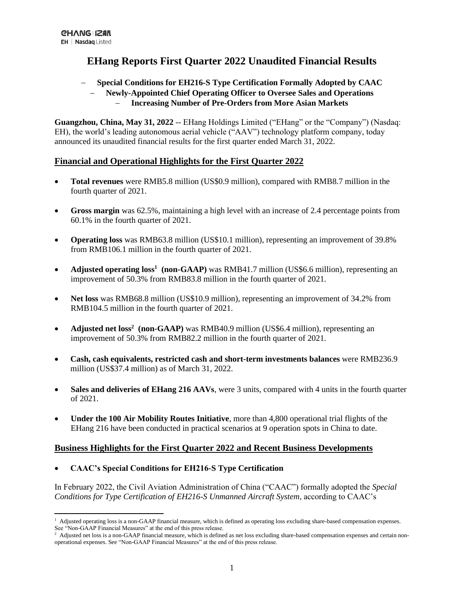# **EHang Reports First Quarter 2022 Unaudited Financial Results**

- − **Special Conditions for EH216-S Type Certification Formally Adopted by CAAC**
	- − **Newly-Appointed Chief Operating Officer to Oversee Sales and Operations**
		- − **Increasing Number of Pre-Orders from More Asian Markets**

**Guangzhou, China, May 31, 2022** -- EHang Holdings Limited ("EHang" or the "Company") (Nasdaq: EH), the world's leading autonomous aerial vehicle ("AAV") technology platform company, today announced its unaudited financial results for the first quarter ended March 31, 2022.

# **Financial and Operational Highlights for the First Quarter 2022**

- **Total revenues** were RMB5.8 million (US\$0.9 million), compared with RMB8.7 million in the fourth quarter of 2021.
- **Gross margin** was 62.5%, maintaining a high level with an increase of 2.4 percentage points from 60.1% in the fourth quarter of 2021.
- **Operating loss** was RMB63.8 million (US\$10.1 million), representing an improvement of 39.8% from RMB106.1 million in the fourth quarter of 2021.
- Adjusted operating loss<sup>1</sup> (non-GAAP) was RMB41.7 million (US\$6.6 million), representing an improvement of 50.3% from RMB83.8 million in the fourth quarter of 2021.
- **Net loss** was RMB68.8 million (US\$10.9 million), representing an improvement of 34.2% from RMB104.5 million in the fourth quarter of 2021.
- **Adjusted net loss<sup>2</sup> (non-GAAP)** was RMB40.9 million (US\$6.4 million), representing an improvement of 50.3% from RMB82.2 million in the fourth quarter of 2021.
- **Cash, cash equivalents, restricted cash and short-term investments balances** were RMB236.9 million (US\$37.4 million) as of March 31, 2022.
- **Sales and deliveries of EHang 216 AAVs**, were 3 units, compared with 4 units in the fourth quarter of 2021.
- **Under the 100 Air Mobility Routes Initiative**, more than 4,800 operational trial flights of the EHang 216 have been conducted in practical scenarios at 9 operation spots in China to date.

# **Business Highlights for the First Quarter 2022 and Recent Business Developments**

• **CAAC's Special Conditions for EH216-S Type Certification**

In February 2022, the Civil Aviation Administration of China ("CAAC") formally adopted the *Special Conditions for Type Certification of EH216-S Unmanned Aircraft System*, according to CAAC's

<sup>&</sup>lt;sup>1</sup> Adjusted operating loss is a non-GAAP financial measure, which is defined as operating loss excluding share-based compensation expenses. See "Non-GAAP Financial Measures" at the end of this press release.

<sup>&</sup>lt;sup>2</sup> Adjusted net loss is a non-GAAP financial measure, which is defined as net loss excluding share-based compensation expenses and certain nonoperational expenses. See "Non-GAAP Financial Measures" at the end of this press release.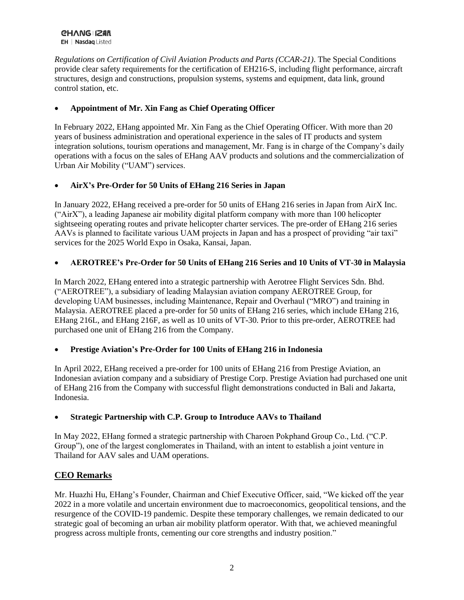*Regulations on Certification of Civil Aviation Products and Parts (CCAR-21)*. The Special Conditions provide clear safety requirements for the certification of EH216-S, including flight performance, aircraft structures, design and constructions, propulsion systems, systems and equipment, data link, ground control station, etc.

### • **Appointment of Mr. Xin Fang as Chief Operating Officer**

In February 2022, EHang appointed Mr. Xin Fang as the Chief Operating Officer. With more than 20 years of business administration and operational experience in the sales of IT products and system integration solutions, tourism operations and management, Mr. Fang is in charge of the Company's daily operations with a focus on the sales of EHang AAV products and solutions and the commercialization of Urban Air Mobility ("UAM") services.

## • **AirX's Pre-Order for 50 Units of EHang 216 Series in Japan**

In January 2022, EHang received a pre-order for 50 units of EHang 216 series in Japan from AirX Inc. ("AirX"), a leading Japanese air mobility digital platform company with more than 100 helicopter sightseeing operating routes and private helicopter charter services. The pre-order of EHang 216 series AAVs is planned to facilitate various UAM projects in Japan and has a prospect of providing "air taxi" services for the 2025 World Expo in Osaka, Kansai, Japan.

### • **AEROTREE's Pre-Order for 50 Units of EHang 216 Series and 10 Units of VT-30 in Malaysia**

In March 2022, EHang entered into a strategic partnership with Aerotree Flight Services Sdn. Bhd. ("AEROTREE"), a subsidiary of leading Malaysian aviation company AEROTREE Group, for developing UAM businesses, including Maintenance, Repair and Overhaul ("MRO") and training in Malaysia. AEROTREE placed a pre-order for 50 units of EHang 216 series, which include EHang 216, EHang 216L, and EHang 216F, as well as 10 units of VT-30. Prior to this pre-order, AEROTREE had purchased one unit of EHang 216 from the Company.

#### • **Prestige Aviation's Pre-Order for 100 Units of EHang 216 in Indonesia**

In April 2022, EHang received a pre-order for 100 units of EHang 216 from Prestige Aviation, an Indonesian aviation company and a subsidiary of Prestige Corp. Prestige Aviation had purchased one unit of EHang 216 from the Company with successful flight demonstrations conducted in Bali and Jakarta, Indonesia.

#### • **Strategic Partnership with C.P. Group to Introduce AAVs to Thailand**

In May 2022, EHang formed a strategic partnership with Charoen Pokphand Group Co., Ltd. ("C.P. Group"), one of the largest conglomerates in Thailand, with an intent to establish a joint venture in Thailand for AAV sales and UAM operations.

## **CEO Remarks**

Mr. Huazhi Hu, EHang's Founder, Chairman and Chief Executive Officer, said, "We kicked off the year 2022 in a more volatile and uncertain environment due to macroeconomics, geopolitical tensions, and the resurgence of the COVID-19 pandemic. Despite these temporary challenges, we remain dedicated to our strategic goal of becoming an urban air mobility platform operator. With that, we achieved meaningful progress across multiple fronts, cementing our core strengths and industry position."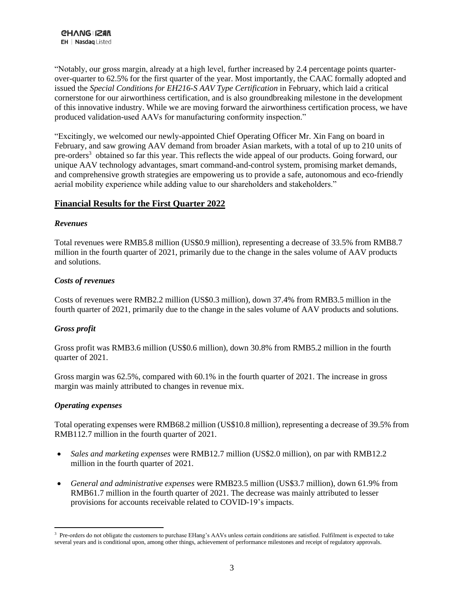"Notably, our gross margin, already at a high level, further increased by 2.4 percentage points quarterover-quarter to 62.5% for the first quarter of the year. Most importantly, the CAAC formally adopted and issued the *Special Conditions for EH216-S AAV Type Certification* in February, which laid a critical cornerstone for our airworthiness certification, and is also groundbreaking milestone in the development of this innovative industry. While we are moving forward the airworthiness certification process, we have produced validation-used AAVs for manufacturing conformity inspection."

"Excitingly, we welcomed our newly-appointed Chief Operating Officer Mr. Xin Fang on board in February, and saw growing AAV demand from broader Asian markets, with a total of up to 210 units of pre-orders<sup>3</sup> obtained so far this year. This reflects the wide appeal of our products. Going forward, our unique AAV technology advantages, smart command-and-control system, promising market demands, and comprehensive growth strategies are empowering us to provide a safe, autonomous and eco-friendly aerial mobility experience while adding value to our shareholders and stakeholders."

## **Financial Results for the First Quarter 2022**

#### *Revenues*

Total revenues were RMB5.8 million (US\$0.9 million), representing a decrease of 33.5% from RMB8.7 million in the fourth quarter of 2021, primarily due to the change in the sales volume of AAV products and solutions.

#### *Costs of revenues*

Costs of revenues were RMB2.2 million (US\$0.3 million), down 37.4% from RMB3.5 million in the fourth quarter of 2021, primarily due to the change in the sales volume of AAV products and solutions.

#### *Gross profit*

Gross profit was RMB3.6 million (US\$0.6 million), down 30.8% from RMB5.2 million in the fourth quarter of 2021.

Gross margin was 62.5%, compared with 60.1% in the fourth quarter of 2021. The increase in gross margin was mainly attributed to changes in revenue mix.

#### *Operating expenses*

Total operating expenses were RMB68.2 million (US\$10.8 million), representing a decrease of 39.5% from RMB112.7 million in the fourth quarter of 2021.

- *Sales and marketing expenses* were RMB12.7 million (US\$2.0 million), on par with RMB12.2 million in the fourth quarter of 2021.
- *General and administrative expenses* were RMB23.5 million (US\$3.7 million), down 61.9% from RMB61.7 million in the fourth quarter of 2021. The decrease was mainly attributed to lesser provisions for accounts receivable related to COVID-19's impacts.

<sup>&</sup>lt;sup>3</sup> Pre-orders do not obligate the customers to purchase EHang's AAVs unless certain conditions are satisfied. Fulfilment is expected to take several years and is conditional upon, among other things, achievement of performance milestones and receipt of regulatory approvals.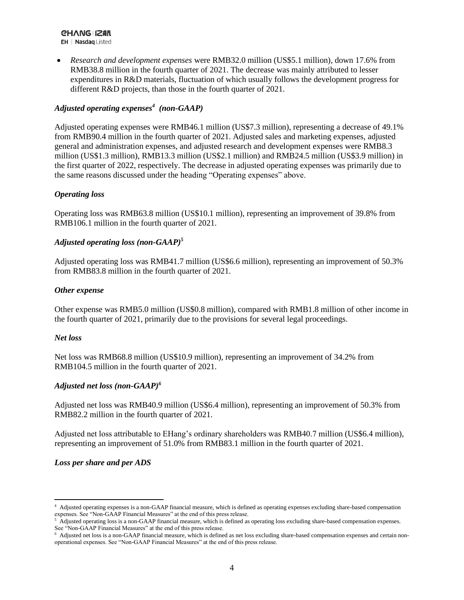• *Research and development expenses* were RMB32.0 million (US\$5.1 million), down 17.6% from RMB38.8 million in the fourth quarter of 2021. The decrease was mainly attributed to lesser expenditures in R&D materials, fluctuation of which usually follows the development progress for different R&D projects, than those in the fourth quarter of 2021.

## *Adjusted operating expenses<sup>4</sup> (non-GAAP)*

Adjusted operating expenses were RMB46.1 million (US\$7.3 million), representing a decrease of 49.1% from RMB90.4 million in the fourth quarter of 2021. Adjusted sales and marketing expenses, adjusted general and administration expenses, and adjusted research and development expenses were RMB8.3 million (US\$1.3 million), RMB13.3 million (US\$2.1 million) and RMB24.5 million (US\$3.9 million) in the first quarter of 2022, respectively. The decrease in adjusted operating expenses was primarily due to the same reasons discussed under the heading "Operating expenses" above.

#### *Operating loss*

Operating loss was RMB63.8 million (US\$10.1 million), representing an improvement of 39.8% from RMB106.1 million in the fourth quarter of 2021.

#### *Adjusted operating loss (non-GAAP)<sup>5</sup>*

Adjusted operating loss was RMB41.7 million (US\$6.6 million), representing an improvement of 50.3% from RMB83.8 million in the fourth quarter of 2021.

#### *Other expense*

Other expense was RMB5.0 million (US\$0.8 million), compared with RMB1.8 million of other income in the fourth quarter of 2021, primarily due to the provisions for several legal proceedings.

#### *Net loss*

Net loss was RMB68.8 million (US\$10.9 million), representing an improvement of 34.2% from RMB104.5 million in the fourth quarter of 2021.

#### *Adjusted net loss (non-GAAP)<sup>6</sup>*

Adjusted net loss was RMB40.9 million (US\$6.4 million), representing an improvement of 50.3% from RMB82.2 million in the fourth quarter of 2021.

Adjusted net loss attributable to EHang's ordinary shareholders was RMB40.7 million (US\$6.4 million), representing an improvement of 51.0% from RMB83.1 million in the fourth quarter of 2021.

#### *Loss per share and per ADS*

<sup>4</sup> Adjusted operating expenses is a non-GAAP financial measure, which is defined as operating expenses excluding share-based compensation expenses. See "Non-GAAP Financial Measures" at the end of this press release.

<sup>5</sup> Adjusted operating loss is a non-GAAP financial measure, which is defined as operating loss excluding share-based compensation expenses. See "Non-GAAP Financial Measures" at the end of this press release.

<sup>6</sup> Adjusted net loss is a non-GAAP financial measure, which is defined as net loss excluding share-based compensation expenses and certain nonoperational expenses. See "Non-GAAP Financial Measures" at the end of this press release.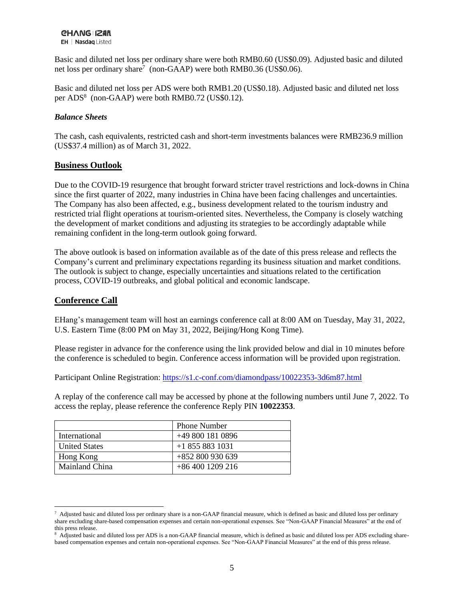Basic and diluted net loss per ordinary share were both RMB0.60 (US\$0.09). Adjusted basic and diluted net loss per ordinary share<sup>7</sup> (non-GAAP) were both RMB0.36 (US\$0.06).

Basic and diluted net loss per ADS were both RMB1.20 (US\$0.18). Adjusted basic and diluted net loss per ADS<sup>8</sup> (non-GAAP) were both RMB0.72 (US\$0.12).

#### *Balance Sheets*

The cash, cash equivalents, restricted cash and short-term investments balances were RMB236.9 million (US\$37.4 million) as of March 31, 2022.

#### **Business Outlook**

Due to the COVID-19 resurgence that brought forward stricter travel restrictions and lock-downs in China since the first quarter of 2022, many industries in China have been facing challenges and uncertainties. The Company has also been affected, e.g., business development related to the tourism industry and restricted trial flight operations at tourism-oriented sites. Nevertheless, the Company is closely watching the development of market conditions and adjusting its strategies to be accordingly adaptable while remaining confident in the long-term outlook going forward.

The above outlook is based on information available as of the date of this press release and reflects the Company's current and preliminary expectations regarding its business situation and market conditions. The outlook is subject to change, especially uncertainties and situations related to the certification process, COVID-19 outbreaks, and global political and economic landscape.

#### **Conference Call**

EHang's management team will host an earnings conference call at 8:00 AM on Tuesday, May 31, 2022, U.S. Eastern Time (8:00 PM on May 31, 2022, Beijing/Hong Kong Time).

Please register in advance for the conference using the link provided below and dial in 10 minutes before the conference is scheduled to begin. Conference access information will be provided upon registration.

Participant Online Registration:<https://s1.c-conf.com/diamondpass/10022353-3d6m87.html>

A replay of the conference call may be accessed by phone at the following numbers until June 7, 2022. To access the replay, please reference the conference Reply PIN **10022353**.

|                      | <b>Phone Number</b> |
|----------------------|---------------------|
| International        | +49 800 181 0896    |
| <b>United States</b> | $+18558831031$      |
| Hong Kong            | +852 800 930 639    |
| Mainland China       | +86 400 1209 216    |

 $^7$  Adjusted basic and diluted loss per ordinary share is a non-GAAP financial measure, which is defined as basic and diluted loss per ordinary share excluding share-based compensation expenses and certain non-operational expenses. See "Non-GAAP Financial Measures" at the end of this press release.

<sup>&</sup>lt;sup>8</sup> Adjusted basic and diluted loss per ADS is a non-GAAP financial measure, which is defined as basic and diluted loss per ADS excluding sharebased compensation expenses and certain non-operational expenses. See "Non-GAAP Financial Measures" at the end of this press release.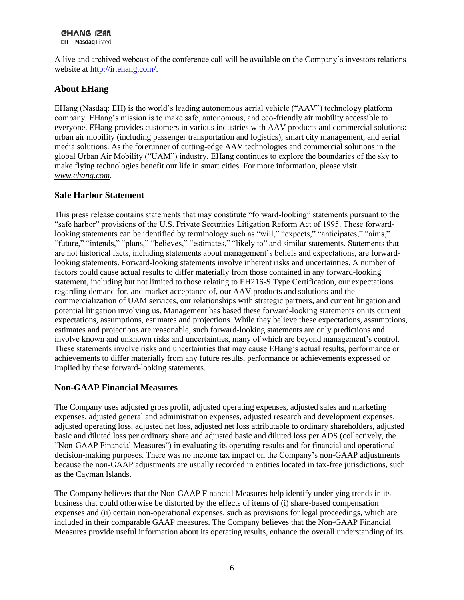A live and archived webcast of the conference call will be available on the Company's investors relations website at [http://ir.ehang.com/.](http://ir.ehang.com/)

# **About EHang**

EHang (Nasdaq: EH) is the world's leading autonomous aerial vehicle ("AAV") technology platform company. EHang's mission is to make safe, autonomous, and eco-friendly air mobility accessible to everyone. EHang provides customers in various industries with AAV products and commercial solutions: urban air mobility (including passenger transportation and logistics), smart city management, and aerial media solutions. As the forerunner of cutting-edge AAV technologies and commercial solutions in the global Urban Air Mobility ("UAM") industry, EHang continues to explore the boundaries of the sky to make flying technologies benefit our life in smart cities. For more information, please visit *[www.ehang.com](http://www.ehang.com/)*.

## **Safe Harbor Statement**

This press release contains statements that may constitute "forward-looking" statements pursuant to the "safe harbor" provisions of the U.S. Private Securities Litigation Reform Act of 1995. These forwardlooking statements can be identified by terminology such as "will," "expects," "anticipates," "aims," "future," "intends," "plans," "believes," "estimates," "likely to" and similar statements. Statements that are not historical facts, including statements about management's beliefs and expectations, are forwardlooking statements. Forward-looking statements involve inherent risks and uncertainties. A number of factors could cause actual results to differ materially from those contained in any forward-looking statement, including but not limited to those relating to EH216-S Type Certification, our expectations regarding demand for, and market acceptance of, our AAV products and solutions and the commercialization of UAM services, our relationships with strategic partners, and current litigation and potential litigation involving us. Management has based these forward-looking statements on its current expectations, assumptions, estimates and projections. While they believe these expectations, assumptions, estimates and projections are reasonable, such forward-looking statements are only predictions and involve known and unknown risks and uncertainties, many of which are beyond management's control. These statements involve risks and uncertainties that may cause EHang's actual results, performance or achievements to differ materially from any future results, performance or achievements expressed or implied by these forward-looking statements.

## **Non-GAAP Financial Measures**

The Company uses adjusted gross profit, adjusted operating expenses, adjusted sales and marketing expenses, adjusted general and administration expenses, adjusted research and development expenses, adjusted operating loss, adjusted net loss, adjusted net loss attributable to ordinary shareholders, adjusted basic and diluted loss per ordinary share and adjusted basic and diluted loss per ADS (collectively, the "Non-GAAP Financial Measures") in evaluating its operating results and for financial and operational decision-making purposes. There was no income tax impact on the Company's non-GAAP adjustments because the non-GAAP adjustments are usually recorded in entities located in tax-free jurisdictions, such as the Cayman Islands.

The Company believes that the Non-GAAP Financial Measures help identify underlying trends in its business that could otherwise be distorted by the effects of items of (i) share-based compensation expenses and (ii) certain non-operational expenses, such as provisions for legal proceedings, which are included in their comparable GAAP measures. The Company believes that the Non-GAAP Financial Measures provide useful information about its operating results, enhance the overall understanding of its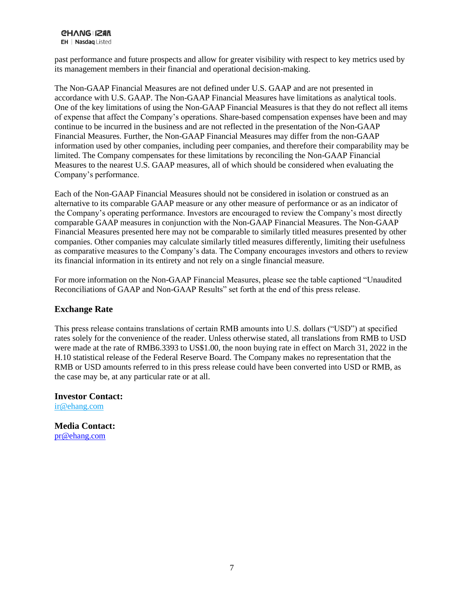past performance and future prospects and allow for greater visibility with respect to key metrics used by its management members in their financial and operational decision-making.

The Non-GAAP Financial Measures are not defined under U.S. GAAP and are not presented in accordance with U.S. GAAP. The Non-GAAP Financial Measures have limitations as analytical tools. One of the key limitations of using the Non-GAAP Financial Measures is that they do not reflect all items of expense that affect the Company's operations. Share-based compensation expenses have been and may continue to be incurred in the business and are not reflected in the presentation of the Non-GAAP Financial Measures. Further, the Non-GAAP Financial Measures may differ from the non-GAAP information used by other companies, including peer companies, and therefore their comparability may be limited. The Company compensates for these limitations by reconciling the Non-GAAP Financial Measures to the nearest U.S. GAAP measures, all of which should be considered when evaluating the Company's performance.

Each of the Non-GAAP Financial Measures should not be considered in isolation or construed as an alternative to its comparable GAAP measure or any other measure of performance or as an indicator of the Company's operating performance. Investors are encouraged to review the Company's most directly comparable GAAP measures in conjunction with the Non-GAAP Financial Measures. The Non-GAAP Financial Measures presented here may not be comparable to similarly titled measures presented by other companies. Other companies may calculate similarly titled measures differently, limiting their usefulness as comparative measures to the Company's data. The Company encourages investors and others to review its financial information in its entirety and not rely on a single financial measure.

For more information on the Non-GAAP Financial Measures, please see the table captioned "Unaudited Reconciliations of GAAP and Non-GAAP Results" set forth at the end of this press release.

#### **Exchange Rate**

This press release contains translations of certain RMB amounts into U.S. dollars ("USD") at specified rates solely for the convenience of the reader. Unless otherwise stated, all translations from RMB to USD were made at the rate of RMB6.3393 to US\$1.00, the noon buying rate in effect on March 31, 2022 in the H.10 statistical release of the Federal Reserve Board. The Company makes no representation that the RMB or USD amounts referred to in this press release could have been converted into USD or RMB, as the case may be, at any particular rate or at all.

**Investor Contact:** [ir@ehang.com](mailto:ir@ehang.com)

**Media Contact:** [pr@ehang.com](mailto:pr@ehang.com)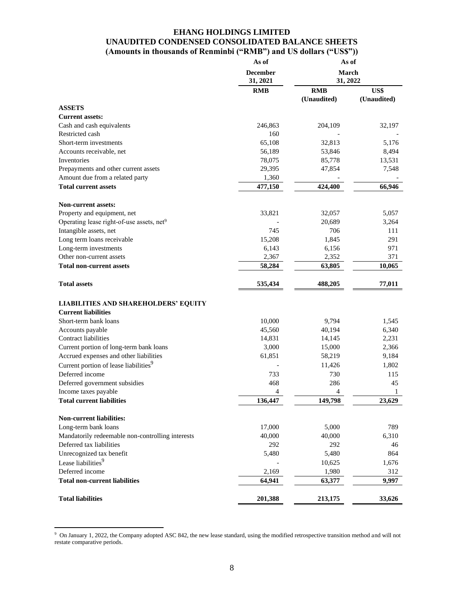### **EHANG HOLDINGS LIMITED UNAUDITED CONDENSED CONSOLIDATED BALANCE SHEETS (Amounts in thousands of Renminbi ("RMB") and US dollars ("US\$"))**

<span id="page-7-0"></span>

|                                                       | As of<br>As of              |                   |             |  |
|-------------------------------------------------------|-----------------------------|-------------------|-------------|--|
|                                                       | <b>December</b><br>31, 2021 | March<br>31, 2022 |             |  |
|                                                       | <b>RMB</b>                  | <b>RMB</b>        | US\$        |  |
|                                                       |                             | (Unaudited)       | (Unaudited) |  |
| <b>ASSETS</b>                                         |                             |                   |             |  |
| <b>Current assets:</b>                                |                             |                   |             |  |
| Cash and cash equivalents                             | 246,863                     | 204,109           | 32,197      |  |
| Restricted cash                                       | 160                         |                   |             |  |
| Short-term investments                                | 65,108                      | 32,813            | 5,176       |  |
| Accounts receivable, net                              | 56,189                      | 53,846            | 8,494       |  |
| Inventories                                           | 78,075                      | 85,778            | 13,531      |  |
| Prepayments and other current assets                  | 29,395                      | 47,854            | 7,548       |  |
| Amount due from a related party                       | 1,360                       |                   |             |  |
| <b>Total current assets</b>                           | 477,150                     | 424,400           | 66,946      |  |
| <b>Non-current assets:</b>                            |                             |                   |             |  |
| Property and equipment, net                           | 33,821                      | 32,057            | 5,057       |  |
| Operating lease right-of-use assets, net <sup>9</sup> |                             | 20,689            | 3,264       |  |
| Intangible assets, net                                | 745                         | 706               | 111         |  |
| Long term loans receivable                            | 15,208                      | 1,845             | 291         |  |
| Long-term investments                                 | 6,143                       | 6,156             | 971         |  |
| Other non-current assets                              | 2,367                       | 2,352             | 371         |  |
| <b>Total non-current assets</b>                       | 58,284                      | 63,805            | 10,065      |  |
| <b>Total assets</b>                                   | 535,434                     | 488,205           | 77,011      |  |
| <b>LIABILITIES AND SHAREHOLDERS' EQUITY</b>           |                             |                   |             |  |
| <b>Current liabilities</b>                            |                             |                   |             |  |
| Short-term bank loans                                 | 10,000                      | 9,794             | 1,545       |  |
| Accounts payable                                      | 45,560                      | 40,194            | 6,340       |  |
| <b>Contract liabilities</b>                           | 14,831                      | 14,145            | 2,231       |  |
| Current portion of long-term bank loans               | 3,000                       | 15,000            | 2,366       |  |
| Accrued expenses and other liabilities                | 61,851                      | 58,219            | 9,184       |  |
| Current portion of lease liabilities <sup>9</sup>     |                             | 11,426            | 1,802       |  |
| Deferred income                                       | 733                         | 730               | 115         |  |
| Deferred government subsidies                         | 468                         | 286               | 45          |  |
| Income taxes payable                                  | 4                           | 4                 | 1           |  |
| <b>Total current liabilities</b>                      | 136,447                     | 149,798           | 23,629      |  |
| <b>Non-current liabilities:</b>                       |                             |                   |             |  |
| Long-term bank loans                                  | 17,000                      | 5,000             | 789         |  |
| Mandatorily redeemable non-controlling interests      | 40,000                      | 40,000            | 6,310       |  |
| Deferred tax liabilities                              | 292                         | 292               | 46          |  |
| Unrecognized tax benefit                              | 5,480                       | 5,480             | 864         |  |
| Lease liabilities <sup>9</sup>                        |                             | 10,625            | 1,676       |  |
| Deferred income                                       | 2,169                       | 1,980             | 312         |  |
| <b>Total non-current liabilities</b>                  | 64,941                      | 63,377            | 9,997       |  |
| <b>Total liabilities</b>                              | 201,388                     | 213,175           | 33,626      |  |

<sup>9</sup> On January 1, 2022, the Company adopted ASC 842, the new lease standard, using the modified retrospective transition method and will not restate comparative periods.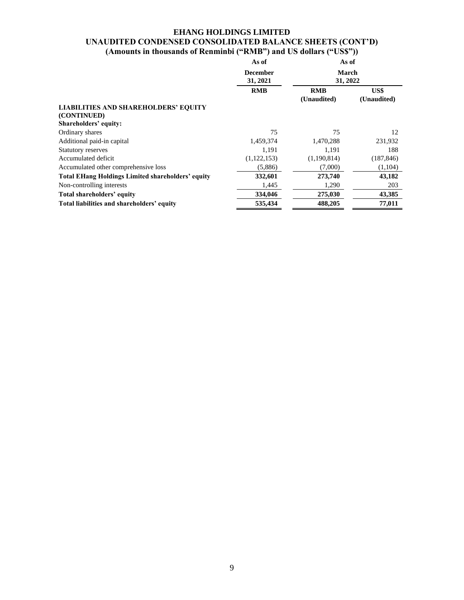### **EHANG HOLDINGS LIMITED UNAUDITED CONDENSED CONSOLIDATED BALANCE SHEETS (CONT'D) (Amounts in thousands of Renminbi ("RMB") and US dollars ("US\$"))**

|                                                            | As of                       | As of<br><b>March</b><br>31, 2022 |                     |  |
|------------------------------------------------------------|-----------------------------|-----------------------------------|---------------------|--|
|                                                            | <b>December</b><br>31, 2021 |                                   |                     |  |
|                                                            | <b>RMB</b>                  | <b>RMB</b><br>(Unaudited)         | US\$<br>(Unaudited) |  |
| <b>LIABILITIES AND SHAREHOLDERS' EQUITY</b><br>(CONTINUED) |                             |                                   |                     |  |
| Shareholders' equity:                                      |                             |                                   |                     |  |
| Ordinary shares                                            | 75                          | 75                                | 12                  |  |
| Additional paid-in capital                                 | 1,459,374                   | 1,470,288                         | 231,932             |  |
| Statutory reserves                                         | 1,191                       | 1,191                             | 188                 |  |
| Accumulated deficit                                        | (1, 122, 153)               | (1,190,814)                       | (187, 846)          |  |
| Accumulated other comprehensive loss                       | (5,886)                     | (7,000)                           | (1,104)             |  |
| <b>Total EHang Holdings Limited shareholders' equity</b>   | 332,601                     | 273,740                           | 43,182              |  |
| Non-controlling interests                                  | 1,445                       | 1,290                             | 203                 |  |
| Total shareholders' equity                                 | 334,046                     | 275,030                           | 43,385              |  |
| Total liabilities and shareholders' equity                 | 535,434                     | 488,205                           | 77,011              |  |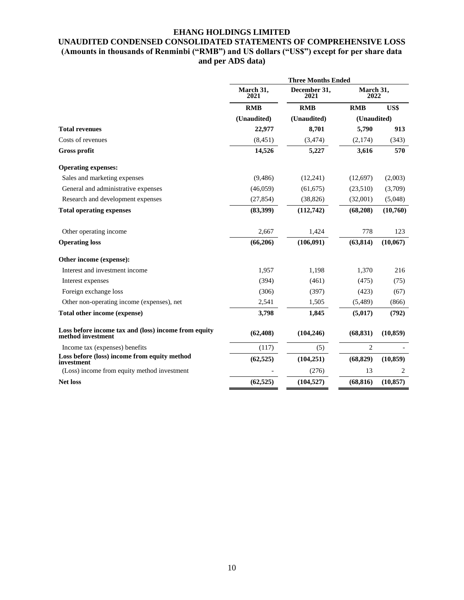### **EHANG HOLDINGS LIMITED UNAUDITED CONDENSED CONSOLIDATED STATEMENTS OF COMPREHENSIVE LOSS (Amounts in thousands of Renminbi ("RMB") and US dollars ("US\$") except for per share data and per ADS data)**

|                                                                           | <b>Three Months Ended</b>                 |            |                   |           |
|---------------------------------------------------------------------------|-------------------------------------------|------------|-------------------|-----------|
|                                                                           | March 31,<br>December 31,<br>2021<br>2021 |            | March 31,<br>2022 |           |
|                                                                           | <b>RMB</b>                                | <b>RMB</b> | <b>RMB</b>        | US\$      |
|                                                                           | (Unaudited)<br>(Unaudited)                |            | (Unaudited)       |           |
| <b>Total revenues</b>                                                     | 22,977                                    | 8,701      | 5,790             | 913       |
| Costs of revenues                                                         | (8, 451)                                  | (3, 474)   | (2,174)           | (343)     |
| <b>Gross profit</b>                                                       | 14,526                                    | 5,227      | 3,616             | 570       |
| <b>Operating expenses:</b>                                                |                                           |            |                   |           |
| Sales and marketing expenses                                              | (9,486)                                   | (12,241)   | (12,697)          | (2,003)   |
| General and administrative expenses                                       | (46,059)                                  | (61, 675)  | (23,510)          | (3,709)   |
| Research and development expenses                                         | (27, 854)                                 | (38, 826)  | (32,001)          | (5,048)   |
| <b>Total operating expenses</b>                                           | (83,399)                                  | (112,742)  | (68, 208)         | (10,760)  |
| Other operating income                                                    | 2,667                                     | 1,424      | 778               | 123       |
| <b>Operating loss</b>                                                     | (66, 206)                                 | (106, 091) | (63, 814)         | (10,067)  |
| Other income (expense):                                                   |                                           |            |                   |           |
| Interest and investment income                                            | 1,957                                     | 1,198      | 1,370             | 216       |
| Interest expenses                                                         | (394)                                     | (461)      | (475)             | (75)      |
| Foreign exchange loss                                                     | (306)                                     | (397)      | (423)             | (67)      |
| Other non-operating income (expenses), net                                | 2,541                                     | 1,505      | (5,489)           | (866)     |
| Total other income (expense)                                              | 3,798                                     | 1,845      | (5,017)           | (792)     |
| Loss before income tax and (loss) income from equity<br>method investment | (62, 408)                                 | (104, 246) | (68, 831)         | (10, 859) |
| Income tax (expenses) benefits                                            | (117)                                     | (5)        | $\overline{2}$    |           |
| Loss before (loss) income from equity method<br>investment                | (62, 525)                                 | (104, 251) | (68, 829)         | (10, 859) |
| (Loss) income from equity method investment                               |                                           | (276)      | 13                | 2         |
| <b>Net loss</b>                                                           | (62, 525)                                 | (104, 527) | (68, 816)         | (10, 857) |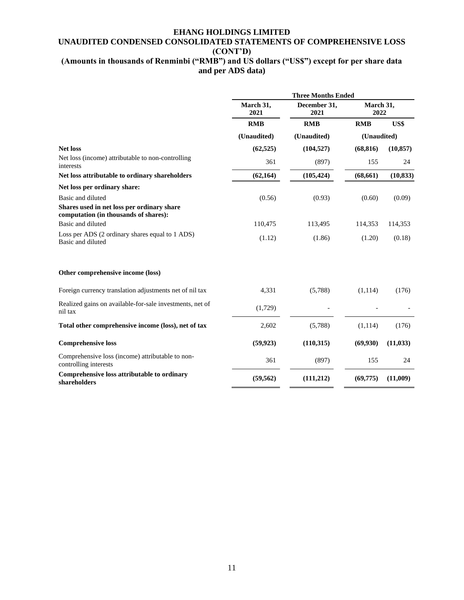## **EHANG HOLDINGS LIMITED UNAUDITED CONDENSED CONSOLIDATED STATEMENTS OF COMPREHENSIVE LOSS (CONT'D)**

# **(Amounts in thousands of Renminbi ("RMB") and US dollars ("US\$") except for per share data and per ADS data)**

|                                                                                                          | <b>Three Months Ended</b>                 |             |                   |           |
|----------------------------------------------------------------------------------------------------------|-------------------------------------------|-------------|-------------------|-----------|
|                                                                                                          | March 31,<br>December 31,<br>2021<br>2021 |             | March 31,<br>2022 |           |
|                                                                                                          | <b>RMB</b>                                | <b>RMB</b>  | <b>RMB</b>        | US\$      |
|                                                                                                          | (Unaudited)                               | (Unaudited) | (Unaudited)       |           |
| <b>Net loss</b>                                                                                          | (62, 525)                                 | (104, 527)  | (68, 816)         | (10, 857) |
| Net loss (income) attributable to non-controlling<br>interests                                           | 361                                       | (897)       | 155               | 24        |
| Net loss attributable to ordinary shareholders                                                           | (62, 164)                                 | (105, 424)  | (68, 661)         | (10, 833) |
| Net loss per ordinary share:                                                                             |                                           |             |                   |           |
| Basic and diluted<br>Shares used in net loss per ordinary share<br>computation (in thousands of shares): | (0.56)                                    | (0.93)      | (0.60)            | (0.09)    |
| Basic and diluted                                                                                        | 110,475                                   | 113,495     | 114,353           | 114,353   |
| Loss per ADS (2 ordinary shares equal to 1 ADS)<br>Basic and diluted                                     | (1.12)                                    | (1.86)      | (1.20)            | (0.18)    |
| Other comprehensive income (loss)                                                                        |                                           |             |                   |           |
| Foreign currency translation adjustments net of nil tax                                                  | 4,331                                     | (5,788)     | (1,114)           | (176)     |
| Realized gains on available-for-sale investments, net of<br>nil tax                                      | (1,729)                                   |             |                   |           |
| Total other comprehensive income (loss), net of tax                                                      | 2,602                                     | (5,788)     | (1, 114)          | (176)     |
| <b>Comprehensive loss</b>                                                                                | (59, 923)                                 | (110, 315)  | (69, 930)         | (11, 033) |
| Comprehensive loss (income) attributable to non-<br>controlling interests                                | 361                                       | (897)       | 155               | 24        |
| Comprehensive loss attributable to ordinary<br>shareholders                                              | (59, 562)                                 | (111,212)   | (69,775)          | (11,009)  |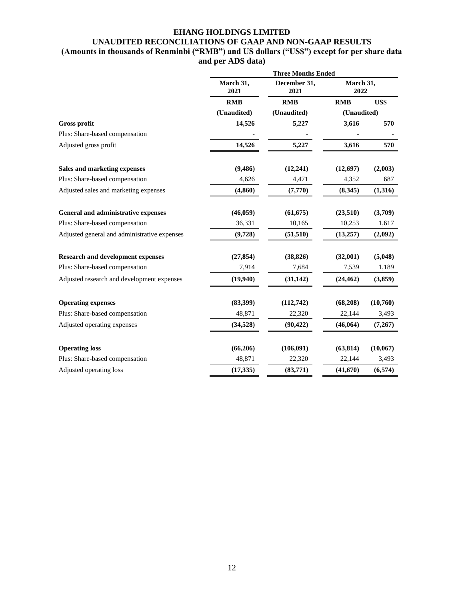### **EHANG HOLDINGS LIMITED UNAUDITED RECONCILIATIONS OF GAAP AND NON-GAAP RESULTS (Amounts in thousands of Renminbi ("RMB") and US dollars ("US\$") except for per share data and per ADS data)**

|                                              |                   | <b>Three Months Ended</b>  |            |                   |  |
|----------------------------------------------|-------------------|----------------------------|------------|-------------------|--|
|                                              | March 31,<br>2021 | December 31,<br>2021       |            | March 31,<br>2022 |  |
|                                              | <b>RMB</b>        | <b>RMB</b>                 | <b>RMB</b> | US\$              |  |
|                                              | (Unaudited)       | (Unaudited)<br>(Unaudited) |            |                   |  |
| <b>Gross profit</b>                          | 14,526            | 5,227                      | 3,616      | 570               |  |
| Plus: Share-based compensation               |                   |                            |            |                   |  |
| Adjusted gross profit                        | 14,526            | 5,227                      | 3,616      | 570               |  |
| Sales and marketing expenses                 | (9,486)           | (12,241)                   | (12,697)   | (2,003)           |  |
| Plus: Share-based compensation               | 4,626             | 4,471                      | 4,352      | 687               |  |
| Adjusted sales and marketing expenses        | (4, 860)          | (7,770)                    | (8,345)    | (1,316)           |  |
| <b>General and administrative expenses</b>   | (46, 059)         | (61, 675)                  | (23,510)   | (3,709)           |  |
| Plus: Share-based compensation               | 36,331            | 10,165                     | 10,253     | 1,617             |  |
| Adjusted general and administrative expenses | (9,728)           | (51, 510)                  | (13,257)   | (2,092)           |  |
| <b>Research and development expenses</b>     | (27, 854)         | (38, 826)                  | (32,001)   | (5,048)           |  |
| Plus: Share-based compensation               | 7,914             | 7,684                      | 7,539      | 1,189             |  |
| Adjusted research and development expenses   | (19,940)          | (31, 142)                  | (24, 462)  | (3,859)           |  |
| <b>Operating expenses</b>                    | (83,399)          | (112,742)                  | (68, 208)  | (10,760)          |  |
| Plus: Share-based compensation               | 48,871            | 22,320                     | 22,144     | 3,493             |  |
| Adjusted operating expenses                  | (34, 528)         | (90, 422)                  | (46, 064)  | (7,267)           |  |
| <b>Operating loss</b>                        | (66, 206)         | (106, 091)                 | (63, 814)  | (10,067)          |  |
| Plus: Share-based compensation               | 48,871            | 22,320                     | 22,144     | 3,493             |  |
| Adjusted operating loss                      | (17, 335)         | (83,771)                   | (41,670)   | (6, 574)          |  |